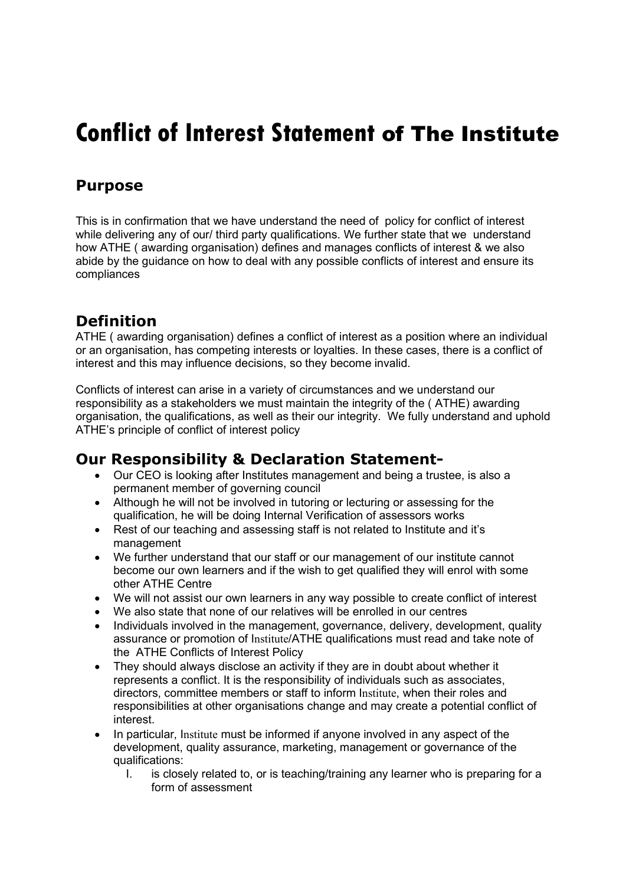## Conflict of Interest Statement of The Institute

## Purpose

This is in confirmation that we have understand the need of policy for conflict of interest while delivering any of our/ third party qualifications. We further state that we understand how ATHE ( awarding organisation) defines and manages conflicts of interest & we also abide by the guidance on how to deal with any possible conflicts of interest and ensure its compliances

## **Definition**

ATHE ( awarding organisation) defines a conflict of interest as a position where an individual or an organisation, has competing interests or loyalties. In these cases, there is a conflict of interest and this may influence decisions, so they become invalid.

Conflicts of interest can arise in a variety of circumstances and we understand our responsibility as a stakeholders we must maintain the integrity of the ( ATHE) awarding organisation, the qualifications, as well as their our integrity. We fully understand and uphold ATHE's principle of conflict of interest policy

## Our Responsibility & Declaration Statement-

- Our CEO is looking after Institutes management and being a trustee, is also a permanent member of governing council
- Although he will not be involved in tutoring or lecturing or assessing for the qualification, he will be doing Internal Verification of assessors works
- Rest of our teaching and assessing staff is not related to Institute and it's management
- We further understand that our staff or our management of our institute cannot become our own learners and if the wish to get qualified they will enrol with some other ATHE Centre
- We will not assist our own learners in any way possible to create conflict of interest
- We also state that none of our relatives will be enrolled in our centres
- Individuals involved in the management, governance, delivery, development, quality assurance or promotion of Institute/ATHE qualifications must read and take note of the ATHE Conflicts of Interest Policy
- They should always disclose an activity if they are in doubt about whether it represents a conflict. It is the responsibility of individuals such as associates, directors, committee members or staff to inform Institute, when their roles and responsibilities at other organisations change and may create a potential conflict of interest.
- In particular, Institute must be informed if anyone involved in any aspect of the development, quality assurance, marketing, management or governance of the qualifications:
	- I. is closely related to, or is teaching/training any learner who is preparing for a form of assessment